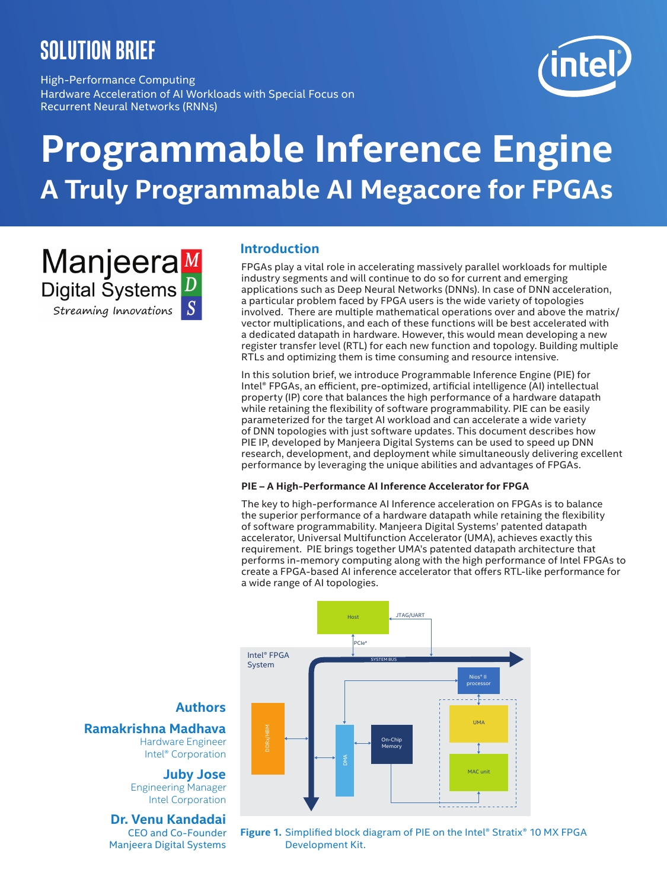# **solution brief**

High-Performance Computing Hardware Acceleration of AI Workloads with Special Focus on Recurrent Neural Networks (RNNs)

# **Programmable Inference Engine A Truly Programmable AI Megacore for FPGAs**

Manjeera Digital Systems Streaming Innovations

# **Introduction**

FPGAs play a vital role in accelerating massively parallel workloads for multiple industry segments and will continue to do so for current and emerging applications such as Deep Neural Networks (DNNs). In case of DNN acceleration, a particular problem faced by FPGA users is the wide variety of topologies involved. There are multiple mathematical operations over and above the matrix/ vector multiplications, and each of these functions will be best accelerated with a dedicated datapath in hardware. However, this would mean developing a new register transfer level (RTL) for each new function and topology. Building multiple RTLs and optimizing them is time consuming and resource intensive.

In this solution brief, we introduce Programmable Inference Engine (PIE) for Intel® FPGAs, an efficient, pre-optimized, artificial intelligence (AI) intellectual property (IP) core that balances the high performance of a hardware datapath while retaining the flexibility of software programmability. PIE can be easily parameterized for the target AI workload and can accelerate a wide variety of DNN topologies with just software updates. This document describes how PIE IP, developed by Manjeera Digital Systems can be used to speed up DNN research, development, and deployment while simultaneously delivering excellent performance by leveraging the unique abilities and advantages of FPGAs.

#### **PIE – A High-Performance AI Inference Accelerator for FPGA**

The key to high-performance AI Inference acceleration on FPGAs is to balance the superior performance of a hardware datapath while retaining the flexibility of software programmability. Manjeera Digital Systems' patented datapath accelerator, Universal Multifunction Accelerator (UMA), achieves exactly this requirement. PIE brings together UMA's patented datapath architecture that performs in-memory computing along with the high performance of Intel FPGAs to create a FPGA-based AI inference accelerator that offers RTL-like performance for a wide range of AI topologies.



# **Authors**

**Ramakrishna Madhava** Hardware Engineer Intel® Corporation

> **Juby Jose** Engineering Manager Intel Corporation

# **Dr. Venu Kandadai**

CEO and Co-Founder Manjeera Digital Systems

**Figure 1.** Simplified block diagram of PIE on the Intel® Stratix® 10 MX FPGA Development Kit.

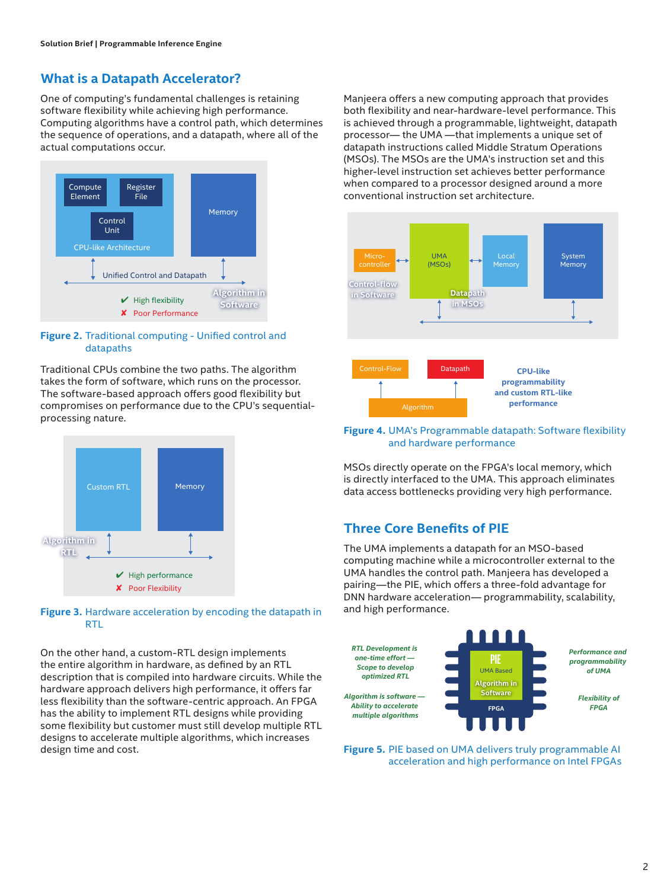# **What is a Datapath Accelerator?**

One of computing's fundamental challenges is retaining software flexibility while achieving high performance. Computing algorithms have a control path, which determines the sequence of operations, and a datapath, where all of the actual computations occur.



#### **Figure 2.** Traditional computing - Unified control and datapaths

Traditional CPUs combine the two paths. The algorithm takes the form of software, which runs on the processor. The software-based approach offers good flexibility but compromises on performance due to the CPU's sequentialprocessing nature.



#### **Figure 3.** Hardware acceleration by encoding the datapath in R<sub>TL</sub>

On the other hand, a custom-RTL design implements the entire algorithm in hardware, as defined by an RTL description that is compiled into hardware circuits. While the hardware approach delivers high performance, it offers far less flexibility than the software-centric approach. An FPGA has the ability to implement RTL designs while providing some flexibility but customer must still develop multiple RTL designs to accelerate multiple algorithms, which increases design time and cost.

Manjeera offers a new computing approach that provides both flexibility and near-hardware-level performance. This is achieved through a programmable, lightweight, datapath processor— the UMA —that implements a unique set of datapath instructions called Middle Stratum Operations (MSOs). The MSOs are the UMA's instruction set and this higher-level instruction set achieves better performance when compared to a processor designed around a more conventional instruction set architecture.



#### **Figure 4.** UMA's Programmable datapath: Software flexibility and hardware performance

MSOs directly operate on the FPGA's local memory, which is directly interfaced to the UMA. This approach eliminates data access bottlenecks providing very high performance.

# **Three Core Benefits of PIE**

The UMA implements a datapath for an MSO-based computing machine while a microcontroller external to the UMA handles the control path. Manjeera has developed a pairing—the PIE, which offers a three-fold advantage for DNN hardware acceleration— programmability, scalability, and high performance.



**Figure 5.** PIE based on UMA delivers truly programmable AI acceleration and high performance on Intel FPGAs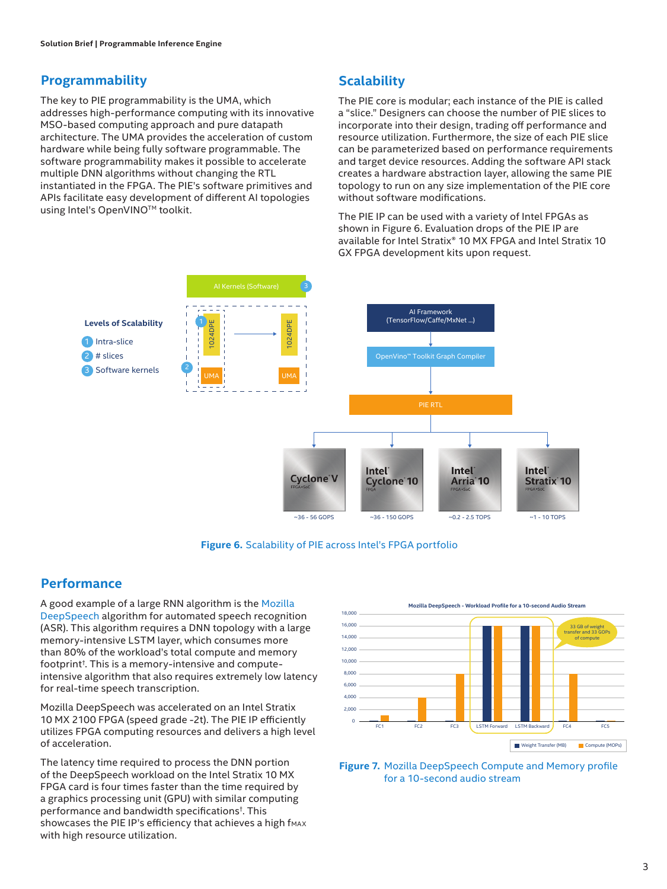# **Programmability**

The key to PIE programmability is the UMA, which addresses high-performance computing with its innovative MSO-based computing approach and pure datapath architecture. The UMA provides the acceleration of custom hardware while being fully software programmable. The software programmability makes it possible to accelerate multiple DNN algorithms without changing the RTL instantiated in the FPGA. The PIE's software primitives and APIs facilitate easy development of different AI topologies using Intel's OpenVINO™ toolkit.

# **Scalability**

The PIE core is modular; each instance of the PIE is called a "slice." Designers can choose the number of PIE slices to incorporate into their design, trading off performance and resource utilization. Furthermore, the size of each PIE slice can be parameterized based on performance requirements and target device resources. Adding the software API stack creates a hardware abstraction layer, allowing the same PIE topology to run on any size implementation of the PIE core without software modifications.

The PIE IP can be used with a variety of Intel FPGAs as shown in Figure 6. Evaluation drops of the PIE IP are available for Intel Stratix® 10 MX FPGA and Intel Stratix 10 GX FPGA development kits upon request.



**Figure 6.** Scalability of PIE across Intel's FPGA portfolio

# **Performance**

A good example of a large RNN algorithm is the [Mozilla](https://arxiv.org/pdf/1412.5567.pdf)  [DeepSpeech](https://arxiv.org/pdf/1412.5567.pdf) algorithm for automated speech recognition (ASR). This algorithm requires a DNN topology with a large memory-intensive LSTM layer, which consumes more than 80% of the workload's total compute and memory footprint† . This is a memory-intensive and computeintensive algorithm that also requires extremely low latency for real-time speech transcription.

Mozilla DeepSpeech was accelerated on an Intel Stratix 10 MX 2100 FPGA (speed grade -2t). The PIE IP efficiently utilizes FPGA computing resources and delivers a high level of acceleration.

The latency time required to process the DNN portion of the DeepSpeech workload on the Intel Stratix 10 MX FPGA card is four times faster than the time required by a graphics processing unit (GPU) with similar computing performance and bandwidth specifications† . This showcases the PIE IP's efficiency that achieves a high fmax with high resource utilization.



**Figure 7.** Mozilla DeepSpeech Compute and Memory profile for a 10-second audio stream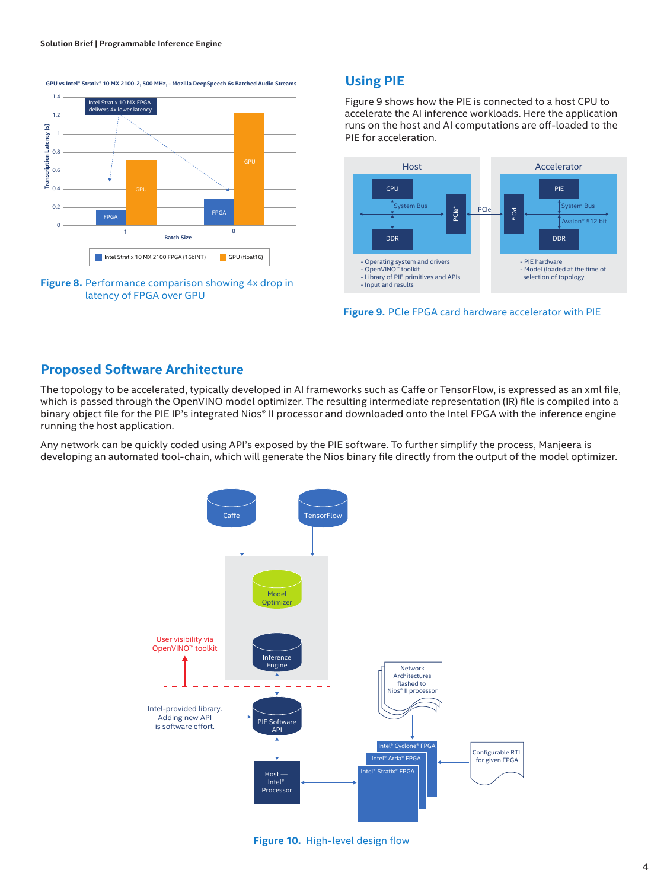**GPU vs Intel® Stratix® 10 MX 2100-2, 500 MHz, - Mozilla DeepSpeech 6s Batched Audio Streams**





### **Using PIE**

Figure 9 shows how the PIE is connected to a host CPU to accelerate the AI inference workloads. Here the application runs on the host and AI computations are off-loaded to the PIE for acceleration.



**Figure 9.** PCIe FPGA card hardware accelerator with PIE

#### **Proposed Software Architecture**

The topology to be accelerated, typically developed in AI frameworks such as Caffe or TensorFlow, is expressed as an xml file, which is passed through the OpenVINO model optimizer. The resulting intermediate representation (IR) file is compiled into a binary object file for the PIE IP's integrated Nios® II processor and downloaded onto the Intel FPGA with the inference engine running the host application.

Any network can be quickly coded using API's exposed by the PIE software. To further simplify the process, Manjeera is developing an automated tool-chain, which will generate the Nios binary file directly from the output of the model optimizer.



**Figure 10.** High-level design flow